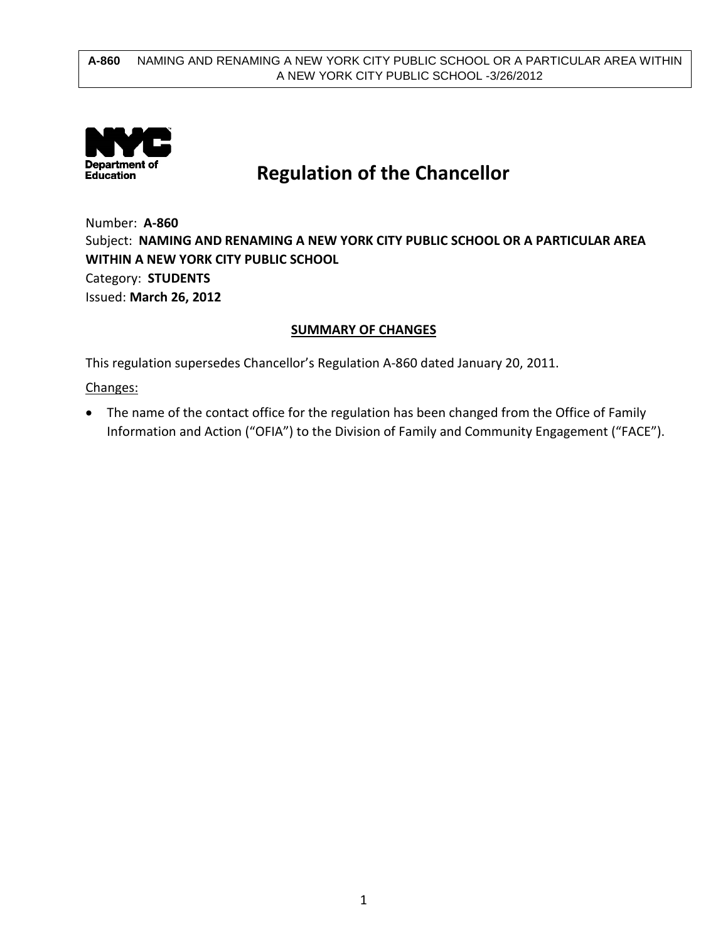

# **Regulation of the Chancellor**

Number: **A-860** Subject: **NAMING AND RENAMING A NEW YORK CITY PUBLIC SCHOOL OR A PARTICULAR AREA WITHIN A NEW YORK CITY PUBLIC SCHOOL** Category: **STUDENTS** Issued: **March 26, 2012**

# **SUMMARY OF CHANGES**

This regulation supersedes Chancellor's Regulation A-860 dated January 20, 2011.

Changes:

• The name of the contact office for the regulation has been changed from the Office of Family Information and Action ("OFIA") to the Division of Family and Community Engagement ("FACE").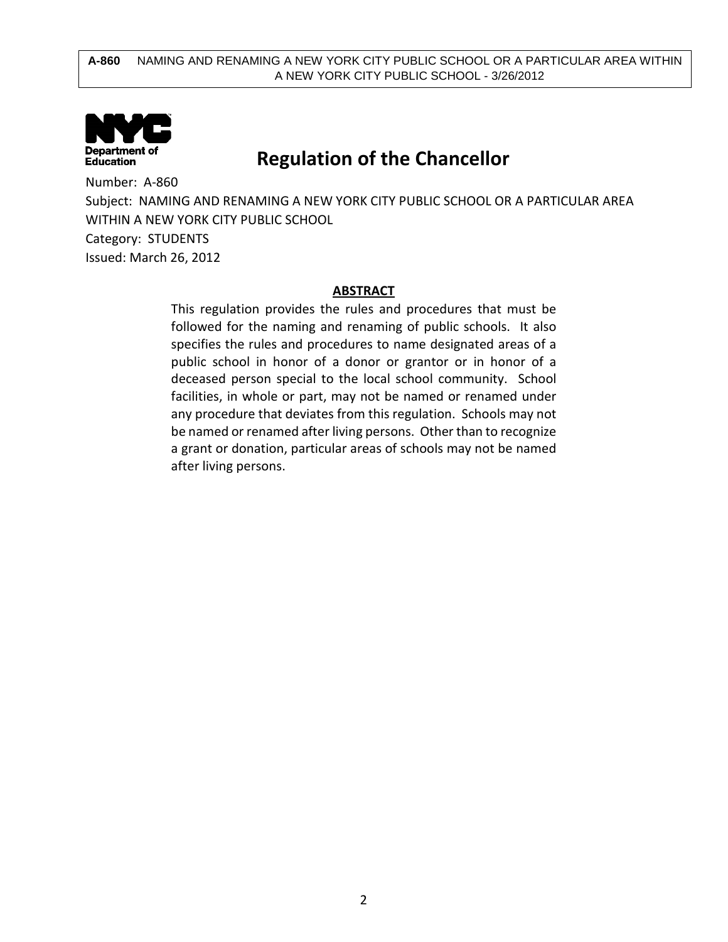

# **Regulation of the Chancellor**

Number: A-860

Subject: NAMING AND RENAMING A NEW YORK CITY PUBLIC SCHOOL OR A PARTICULAR AREA WITHIN A NEW YORK CITY PUBLIC SCHOOL Category: STUDENTS Issued: March 26, 2012

## **ABSTRACT**

This regulation provides the rules and procedures that must be followed for the naming and renaming of public schools. It also specifies the rules and procedures to name designated areas of a public school in honor of a donor or grantor or in honor of a deceased person special to the local school community. School facilities, in whole or part, may not be named or renamed under any procedure that deviates from this regulation. Schools may not be named or renamed after living persons. Other than to recognize a grant or donation, particular areas of schools may not be named after living persons.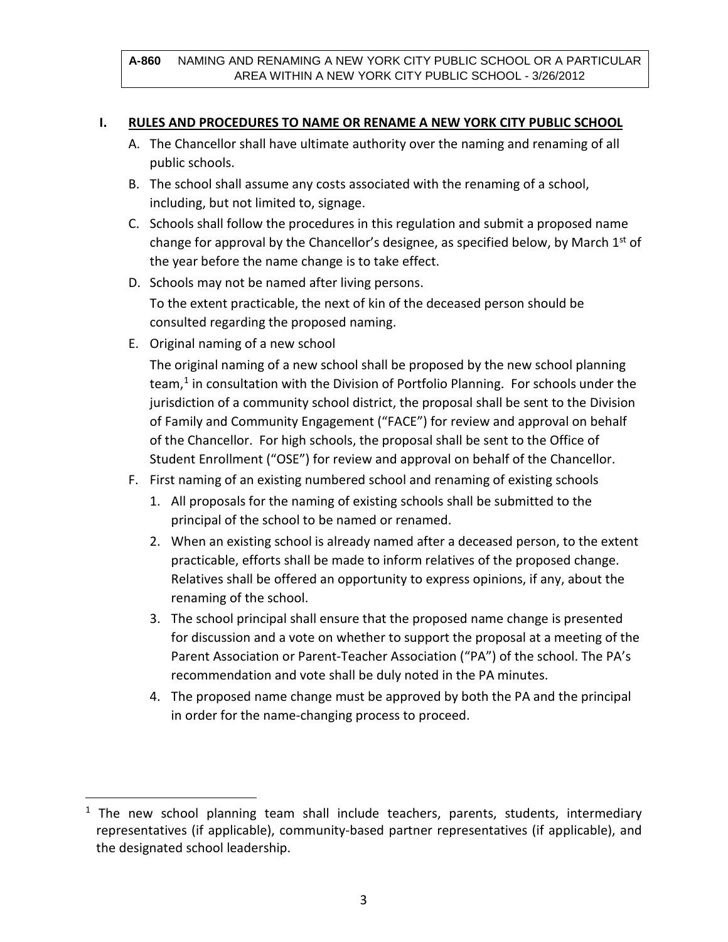# **I. RULES AND PROCEDURES TO NAME OR RENAME A NEW YORK CITY PUBLIC SCHOOL**

- A. The Chancellor shall have ultimate authority over the naming and renaming of all public schools.
- B. The school shall assume any costs associated with the renaming of a school, including, but not limited to, signage.
- C. Schools shall follow the procedures in this regulation and submit a proposed name change for approval by the Chancellor's designee, as specified below, by March  $1<sup>st</sup>$  of the year before the name change is to take effect.
- D. Schools may not be named after living persons.

To the extent practicable, the next of kin of the deceased person should be consulted regarding the proposed naming.

E. Original naming of a new school

 $\overline{a}$ 

The original naming of a new school shall be proposed by the new school planning team, $1$  in consultation with the Division of Portfolio Planning. For schools under the jurisdiction of a community school district, the proposal shall be sent to the Division of Family and Community Engagement ("FACE") for review and approval on behalf of the Chancellor. For high schools, the proposal shall be sent to the Office of Student Enrollment ("OSE") for review and approval on behalf of the Chancellor.

- F. First naming of an existing numbered school and renaming of existing schools
	- 1. All proposals for the naming of existing schools shall be submitted to the principal of the school to be named or renamed.
	- 2. When an existing school is already named after a deceased person, to the extent practicable, efforts shall be made to inform relatives of the proposed change. Relatives shall be offered an opportunity to express opinions, if any, about the renaming of the school.
	- 3. The school principal shall ensure that the proposed name change is presented for discussion and a vote on whether to support the proposal at a meeting of the Parent Association or Parent-Teacher Association ("PA") of the school. The PA's recommendation and vote shall be duly noted in the PA minutes.
	- 4. The proposed name change must be approved by both the PA and the principal in order for the name-changing process to proceed.

<span id="page-2-0"></span> $1$  The new school planning team shall include teachers, parents, students, intermediary representatives (if applicable), community-based partner representatives (if applicable), and the designated school leadership.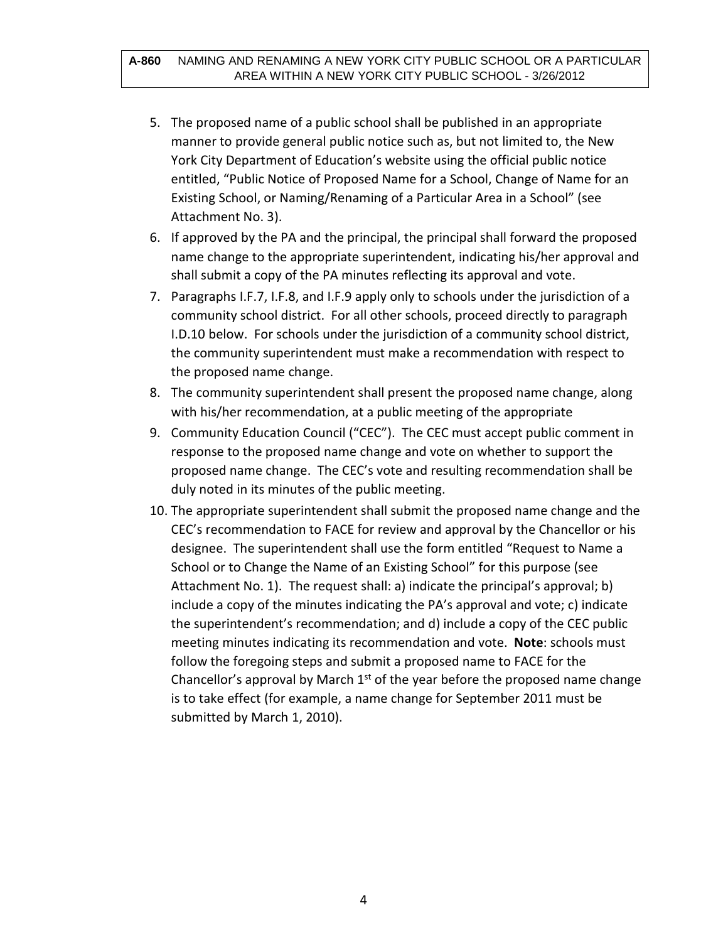- 5. The proposed name of a public school shall be published in an appropriate manner to provide general public notice such as, but not limited to, the New York City Department of Education's website using the official public notice entitled, "Public Notice of Proposed Name for a School, Change of Name for an Existing School, or Naming/Renaming of a Particular Area in a School" (see Attachment No. 3).
- 6. If approved by the PA and the principal, the principal shall forward the proposed name change to the appropriate superintendent, indicating his/her approval and shall submit a copy of the PA minutes reflecting its approval and vote.
- 7. Paragraphs I.F.7, I.F.8, and I.F.9 apply only to schools under the jurisdiction of a community school district. For all other schools, proceed directly to paragraph I.D.10 below. For schools under the jurisdiction of a community school district, the community superintendent must make a recommendation with respect to the proposed name change.
- 8. The community superintendent shall present the proposed name change, along with his/her recommendation, at a public meeting of the appropriate
- 9. Community Education Council ("CEC"). The CEC must accept public comment in response to the proposed name change and vote on whether to support the proposed name change. The CEC's vote and resulting recommendation shall be duly noted in its minutes of the public meeting.
- 10. The appropriate superintendent shall submit the proposed name change and the CEC's recommendation to FACE for review and approval by the Chancellor or his designee. The superintendent shall use the form entitled "Request to Name a School or to Change the Name of an Existing School" for this purpose (see Attachment No. 1). The request shall: a) indicate the principal's approval; b) include a copy of the minutes indicating the PA's approval and vote; c) indicate the superintendent's recommendation; and d) include a copy of the CEC public meeting minutes indicating its recommendation and vote. **Note**: schools must follow the foregoing steps and submit a proposed name to FACE for the Chancellor's approval by March  $1<sup>st</sup>$  of the year before the proposed name change is to take effect (for example, a name change for September 2011 must be submitted by March 1, 2010).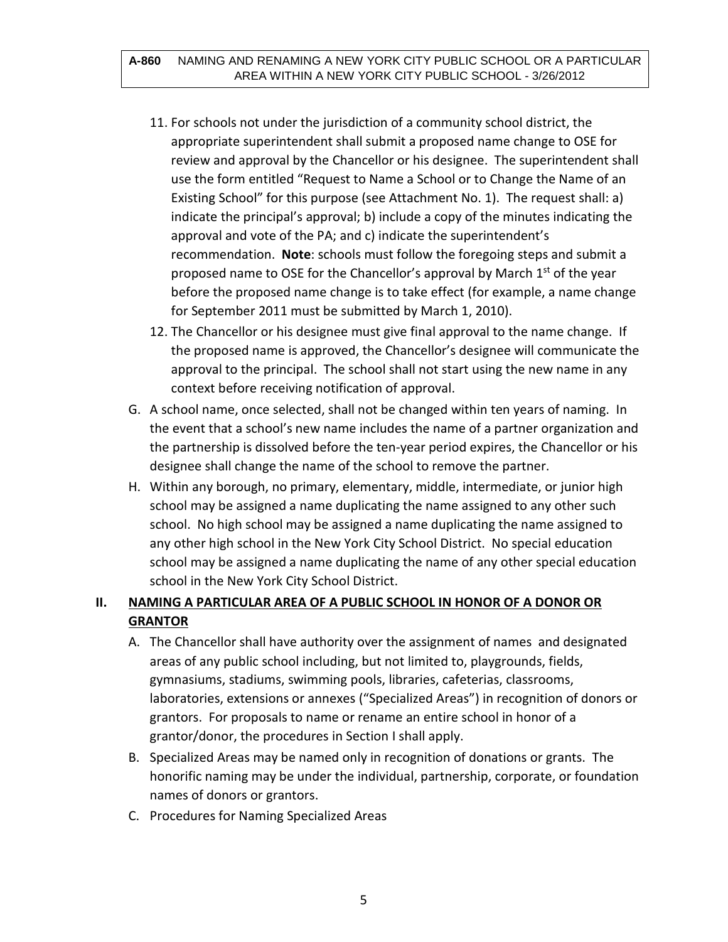- 11. For schools not under the jurisdiction of a community school district, the appropriate superintendent shall submit a proposed name change to OSE for review and approval by the Chancellor or his designee. The superintendent shall use the form entitled "Request to Name a School or to Change the Name of an Existing School" for this purpose (see Attachment No. 1). The request shall: a) indicate the principal's approval; b) include a copy of the minutes indicating the approval and vote of the PA; and c) indicate the superintendent's recommendation. **Note**: schools must follow the foregoing steps and submit a proposed name to OSE for the Chancellor's approval by March  $1<sup>st</sup>$  of the year before the proposed name change is to take effect (for example, a name change for September 2011 must be submitted by March 1, 2010).
- 12. The Chancellor or his designee must give final approval to the name change. If the proposed name is approved, the Chancellor's designee will communicate the approval to the principal. The school shall not start using the new name in any context before receiving notification of approval.
- G. A school name, once selected, shall not be changed within ten years of naming. In the event that a school's new name includes the name of a partner organization and the partnership is dissolved before the ten-year period expires, the Chancellor or his designee shall change the name of the school to remove the partner.
- H. Within any borough, no primary, elementary, middle, intermediate, or junior high school may be assigned a name duplicating the name assigned to any other such school. No high school may be assigned a name duplicating the name assigned to any other high school in the New York City School District. No special education school may be assigned a name duplicating the name of any other special education school in the New York City School District.

# **II. NAMING A PARTICULAR AREA OF A PUBLIC SCHOOL IN HONOR OF A DONOR OR GRANTOR**

- A. The Chancellor shall have authority over the assignment of names and designated areas of any public school including, but not limited to, playgrounds, fields, gymnasiums, stadiums, swimming pools, libraries, cafeterias, classrooms, laboratories, extensions or annexes ("Specialized Areas") in recognition of donors or grantors. For proposals to name or rename an entire school in honor of a grantor/donor, the procedures in Section I shall apply.
- B. Specialized Areas may be named only in recognition of donations or grants. The honorific naming may be under the individual, partnership, corporate, or foundation names of donors or grantors.
- C. Procedures for Naming Specialized Areas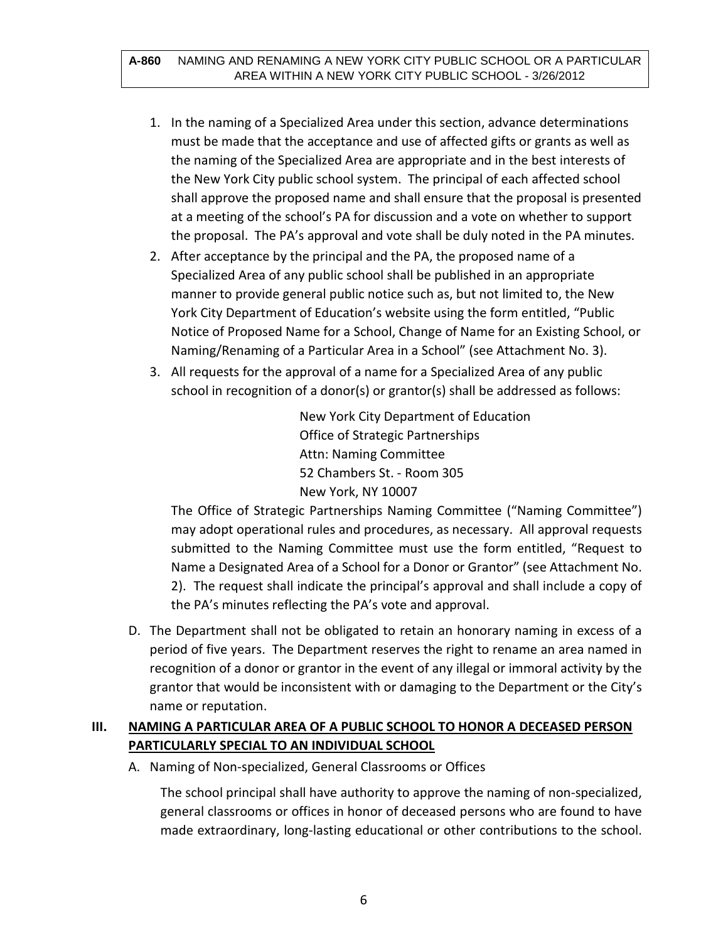- 1. In the naming of a Specialized Area under this section, advance determinations must be made that the acceptance and use of affected gifts or grants as well as the naming of the Specialized Area are appropriate and in the best interests of the New York City public school system. The principal of each affected school shall approve the proposed name and shall ensure that the proposal is presented at a meeting of the school's PA for discussion and a vote on whether to support the proposal. The PA's approval and vote shall be duly noted in the PA minutes.
- 2. After acceptance by the principal and the PA, the proposed name of a Specialized Area of any public school shall be published in an appropriate manner to provide general public notice such as, but not limited to, the New York City Department of Education's website using the form entitled, "Public Notice of Proposed Name for a School, Change of Name for an Existing School, or Naming/Renaming of a Particular Area in a School" (see Attachment No. 3).
- 3. All requests for the approval of a name for a Specialized Area of any public school in recognition of a donor(s) or grantor(s) shall be addressed as follows:

New York City Department of Education Office of Strategic Partnerships Attn: Naming Committee 52 Chambers St. - Room 305 New York, NY 10007

The Office of Strategic Partnerships Naming Committee ("Naming Committee") may adopt operational rules and procedures, as necessary. All approval requests submitted to the Naming Committee must use the form entitled, "Request to Name a Designated Area of a School for a Donor or Grantor" (see Attachment No. 2). The request shall indicate the principal's approval and shall include a copy of the PA's minutes reflecting the PA's vote and approval.

D. The Department shall not be obligated to retain an honorary naming in excess of a period of five years. The Department reserves the right to rename an area named in recognition of a donor or grantor in the event of any illegal or immoral activity by the grantor that would be inconsistent with or damaging to the Department or the City's name or reputation.

# **III. NAMING A PARTICULAR AREA OF A PUBLIC SCHOOL TO HONOR A DECEASED PERSON PARTICULARLY SPECIAL TO AN INDIVIDUAL SCHOOL**

A. Naming of Non-specialized, General Classrooms or Offices

The school principal shall have authority to approve the naming of non-specialized, general classrooms or offices in honor of deceased persons who are found to have made extraordinary, long-lasting educational or other contributions to the school.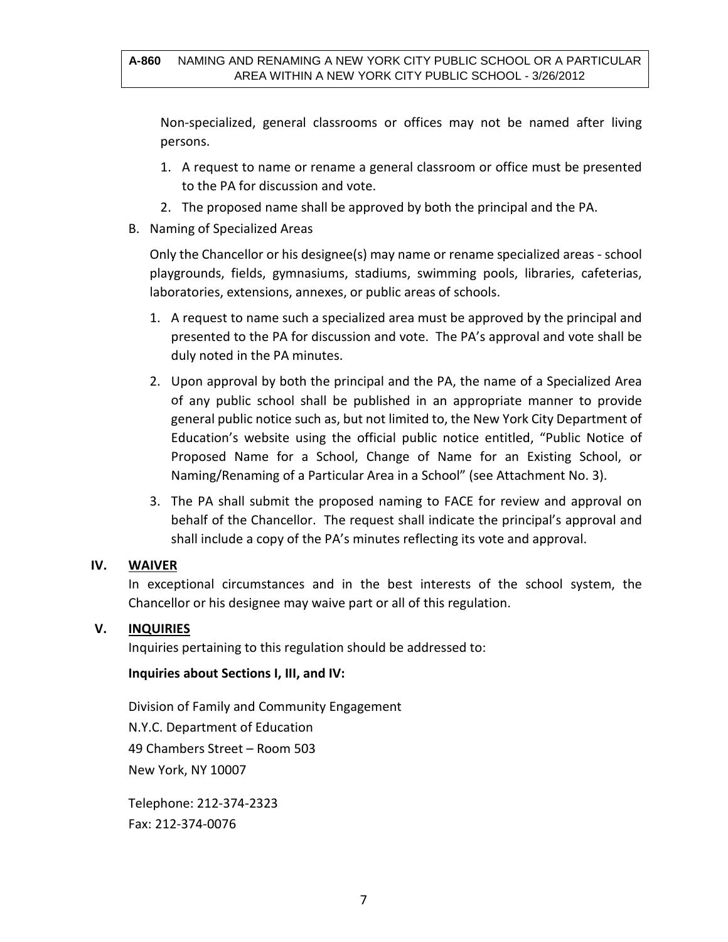Non-specialized, general classrooms or offices may not be named after living persons.

- 1. A request to name or rename a general classroom or office must be presented to the PA for discussion and vote.
- 2. The proposed name shall be approved by both the principal and the PA.
- B. Naming of Specialized Areas

Only the Chancellor or his designee(s) may name or rename specialized areas - school playgrounds, fields, gymnasiums, stadiums, swimming pools, libraries, cafeterias, laboratories, extensions, annexes, or public areas of schools.

- 1. A request to name such a specialized area must be approved by the principal and presented to the PA for discussion and vote. The PA's approval and vote shall be duly noted in the PA minutes.
- 2. Upon approval by both the principal and the PA, the name of a Specialized Area of any public school shall be published in an appropriate manner to provide general public notice such as, but not limited to, the New York City Department of Education's website using the official public notice entitled, "Public Notice of Proposed Name for a School, Change of Name for an Existing School, or Naming/Renaming of a Particular Area in a School" (see Attachment No. 3).
- 3. The PA shall submit the proposed naming to FACE for review and approval on behalf of the Chancellor. The request shall indicate the principal's approval and shall include a copy of the PA's minutes reflecting its vote and approval.

# **IV. WAIVER**

In exceptional circumstances and in the best interests of the school system, the Chancellor or his designee may waive part or all of this regulation.

# **V. INQUIRIES**

Inquiries pertaining to this regulation should be addressed to:

# **Inquiries about Sections I, III, and IV:**

Division of Family and Community Engagement N.Y.C. Department of Education 49 Chambers Street – Room 503 New York, NY 10007

Telephone: 212-374-2323 Fax: 212-374-0076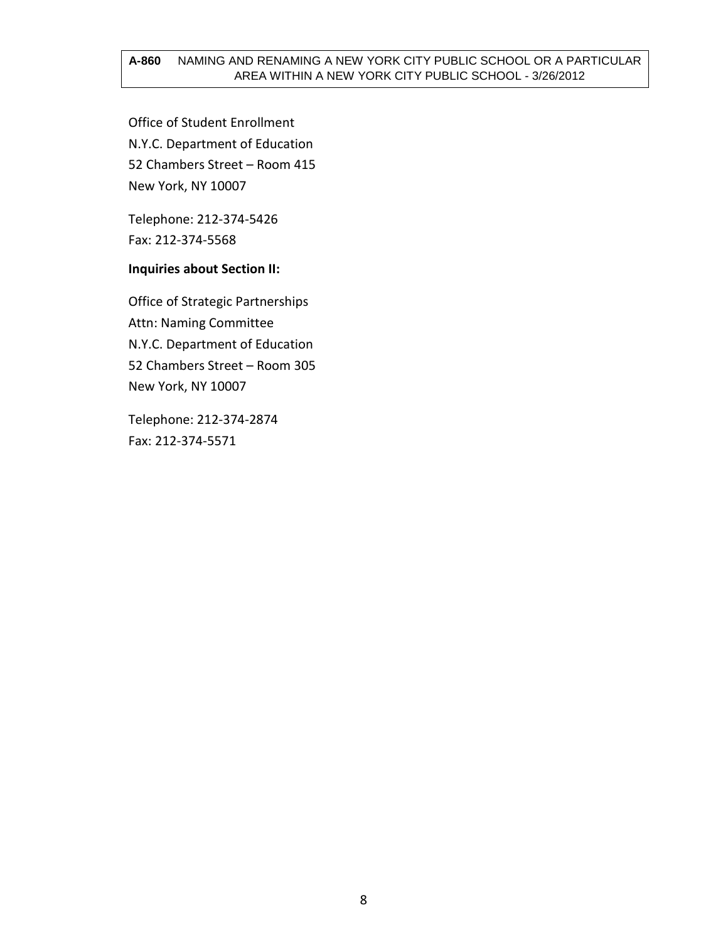### **A-860** NAMING AND RENAMING A NEW YORK CITY PUBLIC SCHOOL OR A PARTICULAR AREA WITHIN A NEW YORK CITY PUBLIC SCHOOL - 3/26/2012

Office of Student Enrollment N.Y.C. Department of Education 52 Chambers Street – Room 415 New York, NY 10007

Telephone: 212-374-5426 Fax: 212-374-5568

## **Inquiries about Section II:**

Office of Strategic Partnerships Attn: Naming Committee N.Y.C. Department of Education 52 Chambers Street – Room 305 New York, NY 10007

Telephone: 212-374-2874 Fax: 212-374-5571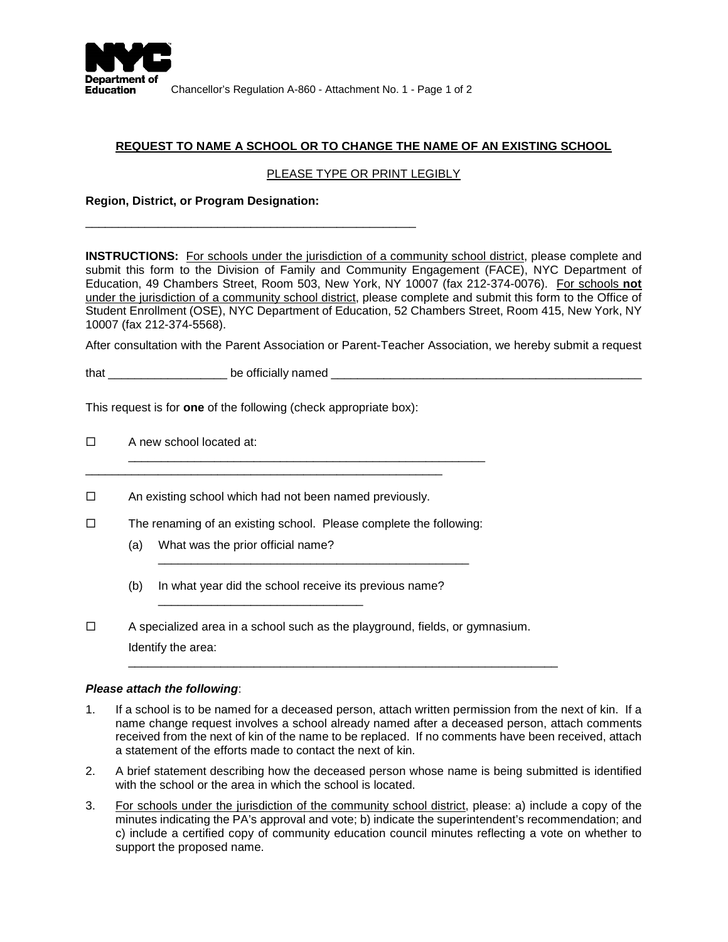

#### **REQUEST TO NAME A SCHOOL OR TO CHANGE THE NAME OF AN EXISTING SCHOOL**

#### PLEASE TYPE OR PRINT LEGIBLY

#### **Region, District, or Program Designation:**

**INSTRUCTIONS:** For schools under the jurisdiction of a community school district, please complete and submit this form to the Division of Family and Community Engagement (FACE), NYC Department of Education, 49 Chambers Street, Room 503, New York, NY 10007 (fax 212-374-0076). For schools **not** under the jurisdiction of a community school district, please complete and submit this form to the Office of Student Enrollment (OSE), NYC Department of Education, 52 Chambers Street, Room 415, New York, NY 10007 (fax 212-374-5568).

After consultation with the Parent Association or Parent-Teacher Association, we hereby submit a request

that \_\_\_\_\_\_\_\_\_\_\_\_\_\_\_\_\_\_ be officially named \_\_\_\_\_\_\_\_\_\_\_\_\_\_\_\_\_\_\_\_\_\_\_\_\_\_\_\_\_\_\_\_\_\_\_\_\_\_\_\_\_\_\_\_\_\_\_

This request is for **one** of the following (check appropriate box):

\_\_\_\_\_\_\_\_\_\_\_\_\_\_\_\_\_\_\_\_\_\_\_\_\_\_\_\_\_\_\_\_\_\_\_\_\_\_\_\_\_\_\_\_\_\_\_\_\_\_

- $\Box$  A new school located at:
- $\Box$  An existing school which had not been named previously.

\_\_\_\_\_\_\_\_\_\_\_\_\_\_\_\_\_\_\_\_\_\_\_\_\_\_\_\_\_\_\_

\_\_\_\_\_\_\_\_\_\_\_\_\_\_\_\_\_\_\_\_\_\_\_\_\_\_\_\_\_\_\_\_\_\_\_\_\_\_\_\_\_\_\_\_\_\_\_\_\_\_\_\_\_\_

 $\square$  The renaming of an existing school. Please complete the following:

\_\_\_\_\_\_\_\_\_\_\_\_\_\_\_\_\_\_\_\_\_\_\_\_\_\_\_\_\_\_\_\_\_\_\_\_\_\_\_\_\_\_\_\_\_\_\_\_\_\_\_\_\_\_

- (a) What was the prior official name?
- (b) In what year did the school receive its previous name?
- $\Box$  A specialized area in a school such as the playground, fields, or gymnasium. Identify the area:

\_\_\_\_\_\_\_\_\_\_\_\_\_\_\_\_\_\_\_\_\_\_\_\_\_\_\_\_\_\_\_\_\_\_\_\_\_\_\_\_\_\_\_\_\_\_\_

#### *Please attach the following*:

1. If a school is to be named for a deceased person, attach written permission from the next of kin. If a name change request involves a school already named after a deceased person, attach comments received from the next of kin of the name to be replaced. If no comments have been received, attach a statement of the efforts made to contact the next of kin.

\_\_\_\_\_\_\_\_\_\_\_\_\_\_\_\_\_\_\_\_\_\_\_\_\_\_\_\_\_\_\_\_\_\_\_\_\_\_\_\_\_\_\_\_\_\_\_\_\_\_\_\_\_\_\_\_\_\_\_\_\_\_\_\_\_

- 2. A brief statement describing how the deceased person whose name is being submitted is identified with the school or the area in which the school is located.
- 3. For schools under the jurisdiction of the community school district, please: a) include a copy of the minutes indicating the PA's approval and vote; b) indicate the superintendent's recommendation; and c) include a certified copy of community education council minutes reflecting a vote on whether to support the proposed name.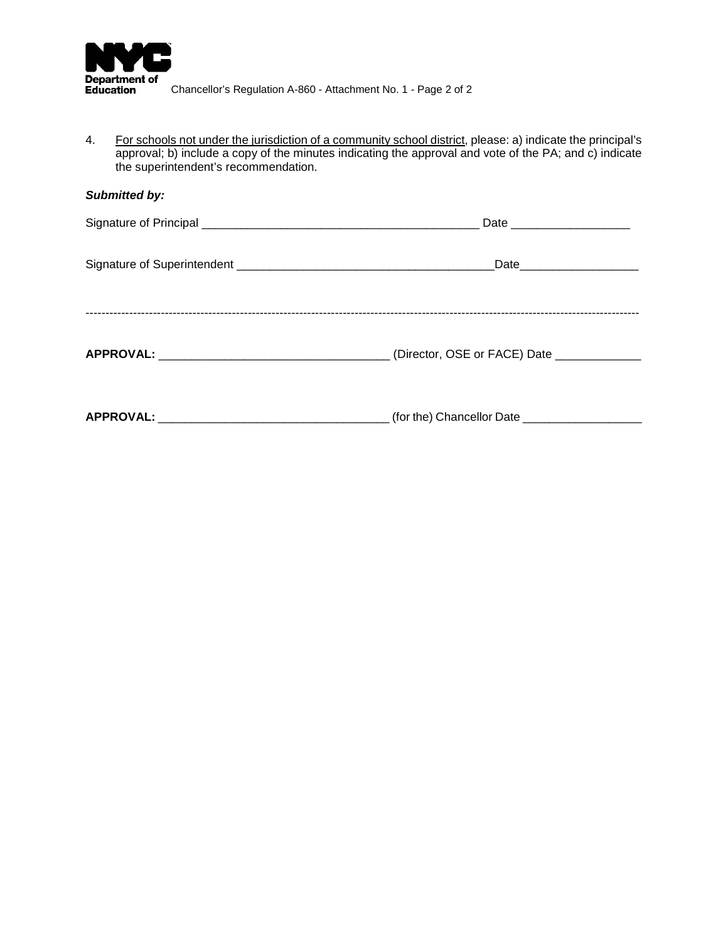

Chancellor's Regulation A-860 - Attachment No. 1 - Page 2 of 2

4. For schools not under the jurisdiction of a community school district, please: a) indicate the principal's approval; b) include a copy of the minutes indicating the approval and vote of the PA; and c) indicate the superintendent's recommendation.

| <b>Submitted by:</b>                                                                                                                                                                                                                |  |
|-------------------------------------------------------------------------------------------------------------------------------------------------------------------------------------------------------------------------------------|--|
|                                                                                                                                                                                                                                     |  |
|                                                                                                                                                                                                                                     |  |
|                                                                                                                                                                                                                                     |  |
| <b>APPROVAL:</b> (for the) Chancellor Date (and the contract of the contract of the chancellor Date of the contract of the contract of the contract of the contract of the contract of the contract of the contract of the contract |  |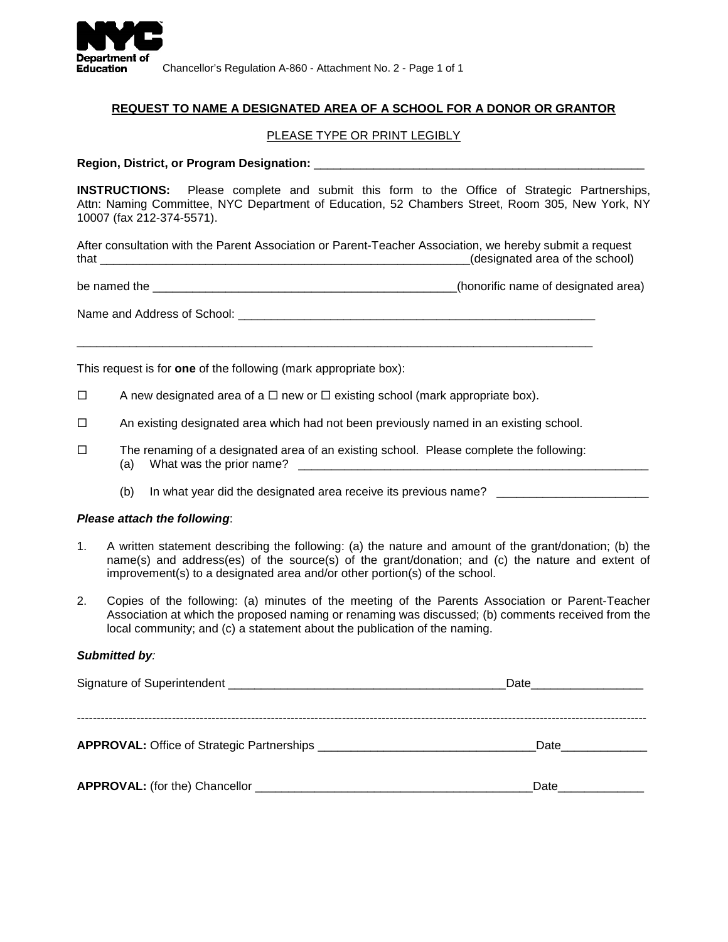

#### **REQUEST TO NAME A DESIGNATED AREA OF A SCHOOL FOR A DONOR OR GRANTOR**

#### PLEASE TYPE OR PRINT LEGIBLY

#### **Region, District, or Program Designation:** \_\_\_\_\_\_\_\_\_\_\_\_\_\_\_\_\_\_\_\_\_\_\_\_\_\_\_\_\_\_\_\_\_\_\_\_\_\_\_\_\_\_\_\_\_\_\_\_\_\_

**INSTRUCTIONS:** Please complete and submit this form to the Office of Strategic Partnerships, Attn: Naming Committee, NYC Department of Education, 52 Chambers Street, Room 305, New York, NY 10007 (fax 212-374-5571).

After consultation with the Parent Association or Parent-Teacher Association, we hereby submit a request that  $\alpha$  (designated area of the school)

be named the \_\_\_\_\_\_\_\_\_\_\_\_\_\_\_\_\_\_\_\_\_\_\_\_\_\_\_\_\_\_\_\_\_\_\_\_\_\_\_\_\_\_\_\_\_\_(honorific name of designated area)

Name and Address of School:

This request is for **one** of the following (mark appropriate box):

- $\Box$  A new designated area of a  $\Box$  new or  $\Box$  existing school (mark appropriate box).
- $\Box$  An existing designated area which had not been previously named in an existing school.

\_\_\_\_\_\_\_\_\_\_\_\_\_\_\_\_\_\_\_\_\_\_\_\_\_\_\_\_\_\_\_\_\_\_\_\_\_\_\_\_\_\_\_\_\_\_\_\_\_\_\_\_\_\_\_\_\_\_\_\_\_\_\_\_\_\_\_\_\_\_\_\_\_\_\_\_\_\_

- $\Box$  The renaming of a designated area of an existing school. Please complete the following: (a) What was the prior name?
	- (b) In what year did the designated area receive its previous name?

#### *Please attach the following*:

- 1. A written statement describing the following: (a) the nature and amount of the grant/donation; (b) the name(s) and address(es) of the source(s) of the grant/donation; and (c) the nature and extent of improvement(s) to a designated area and/or other portion(s) of the school.
- 2. Copies of the following: (a) minutes of the meeting of the Parents Association or Parent-Teacher Association at which the proposed naming or renaming was discussed; (b) comments received from the local community; and (c) a statement about the publication of the naming.

#### *Submitted by:*

| Date |  |
|------|--|
|      |  |
| Date |  |
| Date |  |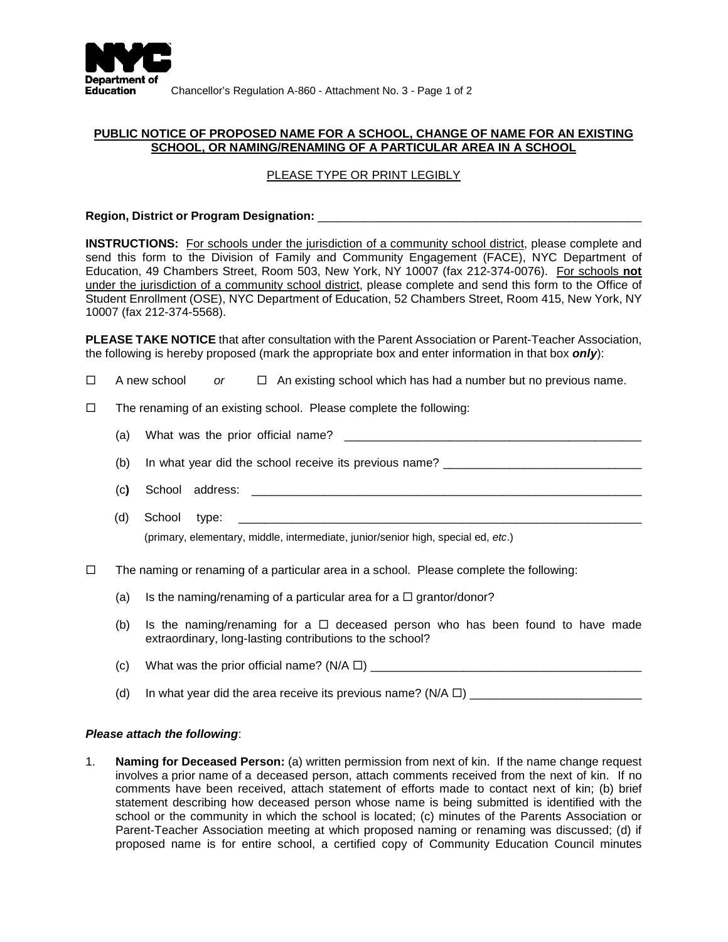

#### **PUBLIC NOTICE OF PROPOSED NAME FOR A SCHOOL, CHANGE OF NAME FOR AN EXISTING SCHOOL, OR NAMING/RENAMING OF A PARTICULAR AREA IN A SCHOOL**

#### PLEASE TYPE OR PRINT LEGIBLY

#### **Region, District or Program Designation:** \_\_\_\_\_\_\_\_\_\_\_\_\_\_\_\_\_\_\_\_\_\_\_\_\_\_\_\_\_\_\_\_\_\_\_\_\_\_\_\_\_\_\_\_\_\_\_\_\_

**INSTRUCTIONS:** For schools under the jurisdiction of a community school district, please complete and send this form to the Division of Family and Community Engagement (FACE). NYC Department of Education, 49 Chambers Street, Room 503, New York, NY 10007 (fax 212-374-0076). For schools **not** under the jurisdiction of a community school district, please complete and send this form to the Office of Student Enrollment (OSE), NYC Department of Education, 52 Chambers Street, Room 415, New York, NY 10007 (fax 212-374-5568).

**PLEASE TAKE NOTICE** that after consultation with the Parent Association or Parent-Teacher Association, the following is hereby proposed (mark the appropriate box and enter information in that box *only*):

- $\Box$  A new school or  $\Box$  An existing school which has had a number but no previous name.
- $\Box$  The renaming of an existing school. Please complete the following:
	- (a) What was the prior official name? \_\_\_\_\_\_\_\_\_\_\_\_\_\_\_\_\_\_\_\_\_\_\_\_\_\_\_\_\_\_\_\_\_\_\_\_\_\_\_\_\_\_\_\_\_

(b) In what year did the school receive its previous name?

- (c**)** School address: \_\_\_\_\_\_\_\_\_\_\_\_\_\_\_\_\_\_\_\_\_\_\_\_\_\_\_\_\_\_\_\_\_\_\_\_\_\_\_\_\_\_\_\_\_\_\_\_\_\_\_\_\_\_\_\_\_\_\_
- $(d)$  School type: (primary, elementary, middle, intermediate, junior/senior high, special ed, *etc*.)
- $\Box$  The naming or renaming of a particular area in a school. Please complete the following:
	- (a) Is the naming/renaming of a particular area for a  $\Box$  grantor/donor?
	- (b) Is the naming/renaming for a  $\Box$  deceased person who has been found to have made extraordinary, long-lasting contributions to the school?
	- (c) What was the prior official name?  $(N/A \Box)$
	- (d) In what year did the area receive its previous name? ( $N/A \Box$ )

#### *Please attach the following*:

1. **Naming for Deceased Person:** (a) written permission from next of kin. If the name change request involves a prior name of a deceased person, attach comments received from the next of kin. If no comments have been received, attach statement of efforts made to contact next of kin; (b) brief statement describing how deceased person whose name is being submitted is identified with the school or the community in which the school is located; (c) minutes of the Parents Association or Parent-Teacher Association meeting at which proposed naming or renaming was discussed; (d) if proposed name is for entire school, a certified copy of Community Education Council minutes